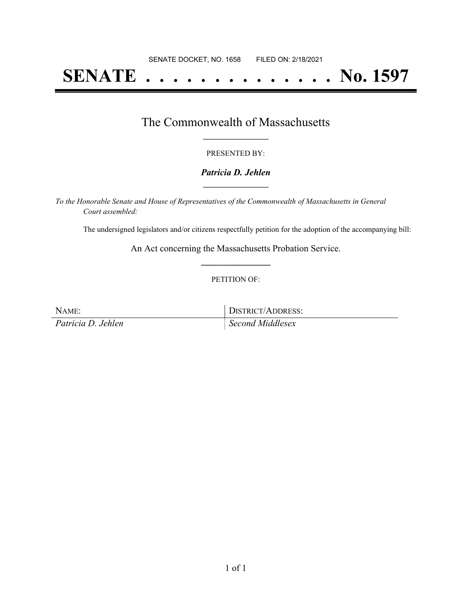# **SENATE . . . . . . . . . . . . . . No. 1597**

### The Commonwealth of Massachusetts **\_\_\_\_\_\_\_\_\_\_\_\_\_\_\_\_\_**

#### PRESENTED BY:

#### *Patricia D. Jehlen* **\_\_\_\_\_\_\_\_\_\_\_\_\_\_\_\_\_**

*To the Honorable Senate and House of Representatives of the Commonwealth of Massachusetts in General Court assembled:*

The undersigned legislators and/or citizens respectfully petition for the adoption of the accompanying bill:

An Act concerning the Massachusetts Probation Service. **\_\_\_\_\_\_\_\_\_\_\_\_\_\_\_**

#### PETITION OF:

NAME: DISTRICT/ADDRESS:

*Patricia D. Jehlen Second Middlesex*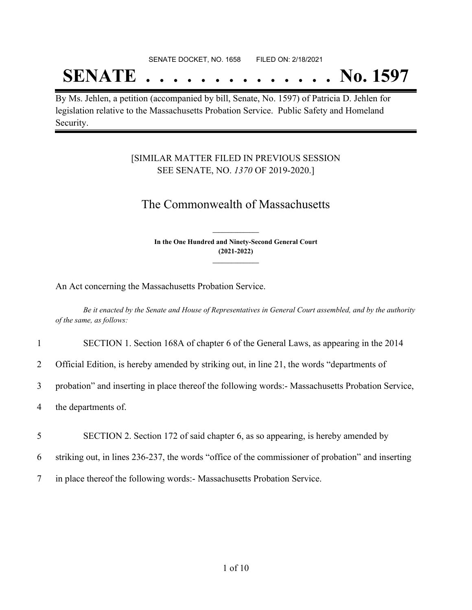SENATE DOCKET, NO. 1658 FILED ON: 2/18/2021

# **SENATE . . . . . . . . . . . . . . No. 1597**

By Ms. Jehlen, a petition (accompanied by bill, Senate, No. 1597) of Patricia D. Jehlen for legislation relative to the Massachusetts Probation Service. Public Safety and Homeland Security.

### [SIMILAR MATTER FILED IN PREVIOUS SESSION SEE SENATE, NO. *1370* OF 2019-2020.]

## The Commonwealth of Massachusetts

**In the One Hundred and Ninety-Second General Court (2021-2022) \_\_\_\_\_\_\_\_\_\_\_\_\_\_\_**

**\_\_\_\_\_\_\_\_\_\_\_\_\_\_\_**

An Act concerning the Massachusetts Probation Service.

Be it enacted by the Senate and House of Representatives in General Court assembled, and by the authority *of the same, as follows:*

|                | SECTION 1. Section 168A of chapter 6 of the General Laws, as appearing in the 2014               |
|----------------|--------------------------------------------------------------------------------------------------|
| $\overline{2}$ | Official Edition, is hereby amended by striking out, in line 21, the words "departments of       |
| $\mathfrak{Z}$ | probation" and inserting in place thereof the following words:- Massachusetts Probation Service, |
| 4              | the departments of.                                                                              |
| 5              | SECTION 2. Section 172 of said chapter 6, as so appearing, is hereby amended by                  |

6 striking out, in lines 236-237, the words "office of the commissioner of probation" and inserting

7 in place thereof the following words:- Massachusetts Probation Service.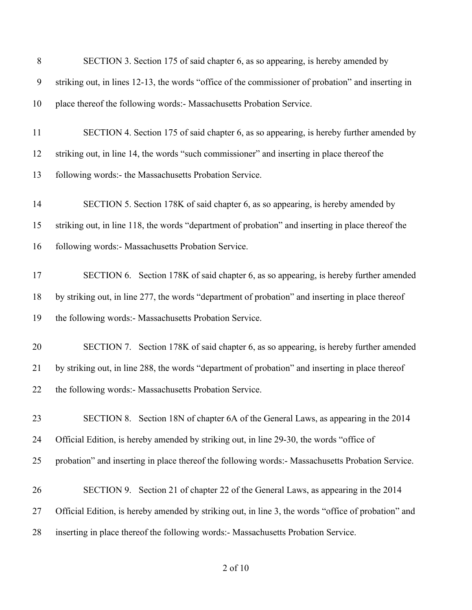| 8  | SECTION 3. Section 175 of said chapter 6, as so appearing, is hereby amended by                     |
|----|-----------------------------------------------------------------------------------------------------|
| 9  | striking out, in lines 12-13, the words "office of the commissioner of probation" and inserting in  |
| 10 | place thereof the following words:- Massachusetts Probation Service.                                |
| 11 | SECTION 4. Section 175 of said chapter 6, as so appearing, is hereby further amended by             |
| 12 | striking out, in line 14, the words "such commissioner" and inserting in place thereof the          |
| 13 | following words:- the Massachusetts Probation Service.                                              |
| 14 | SECTION 5. Section 178K of said chapter 6, as so appearing, is hereby amended by                    |
| 15 | striking out, in line 118, the words "department of probation" and inserting in place thereof the   |
| 16 | following words:- Massachusetts Probation Service.                                                  |
| 17 | SECTION 6. Section 178K of said chapter 6, as so appearing, is hereby further amended               |
| 18 | by striking out, in line 277, the words "department of probation" and inserting in place thereof    |
| 19 | the following words:- Massachusetts Probation Service.                                              |
| 20 | SECTION 7. Section 178K of said chapter 6, as so appearing, is hereby further amended               |
| 21 | by striking out, in line 288, the words "department of probation" and inserting in place thereof    |
| 22 | the following words:- Massachusetts Probation Service.                                              |
| 23 | SECTION 8. Section 18N of chapter 6A of the General Laws, as appearing in the 2014                  |
| 24 | Official Edition, is hereby amended by striking out, in line 29-30, the words "office of            |
| 25 | probation" and inserting in place thereof the following words:- Massachusetts Probation Service.    |
| 26 | SECTION 9. Section 21 of chapter 22 of the General Laws, as appearing in the 2014                   |
| 27 | Official Edition, is hereby amended by striking out, in line 3, the words "office of probation" and |
| 28 | inserting in place thereof the following words:- Massachusetts Probation Service.                   |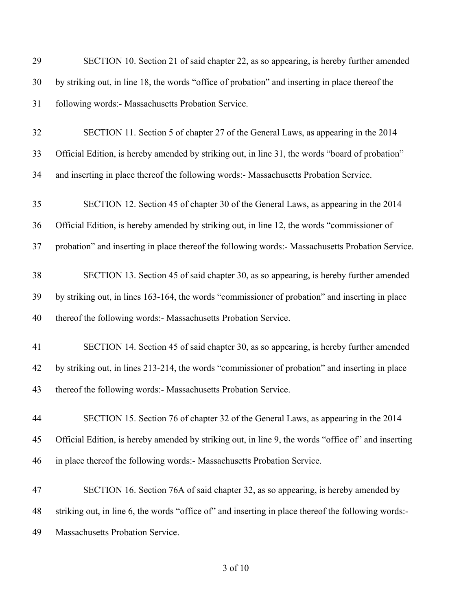| 29 | SECTION 10. Section 21 of said chapter 22, as so appearing, is hereby further amended               |
|----|-----------------------------------------------------------------------------------------------------|
| 30 | by striking out, in line 18, the words "office of probation" and inserting in place thereof the     |
| 31 | following words:- Massachusetts Probation Service.                                                  |
| 32 | SECTION 11. Section 5 of chapter 27 of the General Laws, as appearing in the 2014                   |
| 33 | Official Edition, is hereby amended by striking out, in line 31, the words "board of probation"     |
| 34 | and inserting in place thereof the following words:- Massachusetts Probation Service.               |
| 35 | SECTION 12. Section 45 of chapter 30 of the General Laws, as appearing in the 2014                  |
| 36 | Official Edition, is hereby amended by striking out, in line 12, the words "commissioner of         |
| 37 | probation" and inserting in place thereof the following words:- Massachusetts Probation Service.    |
| 38 | SECTION 13. Section 45 of said chapter 30, as so appearing, is hereby further amended               |
| 39 | by striking out, in lines 163-164, the words "commissioner of probation" and inserting in place     |
| 40 | thereof the following words:- Massachusetts Probation Service.                                      |
| 41 | SECTION 14. Section 45 of said chapter 30, as so appearing, is hereby further amended               |
| 42 | by striking out, in lines 213-214, the words "commissioner of probation" and inserting in place     |
| 43 | thereof the following words:- Massachusetts Probation Service.                                      |
| 44 | SECTION 15. Section 76 of chapter 32 of the General Laws, as appearing in the 2014                  |
| 45 | Official Edition, is hereby amended by striking out, in line 9, the words "office of" and inserting |
| 46 | in place thereof the following words:- Massachusetts Probation Service.                             |
| 47 | SECTION 16. Section 76A of said chapter 32, as so appearing, is hereby amended by                   |
| 48 | striking out, in line 6, the words "office of" and inserting in place thereof the following words:- |
| 49 | Massachusetts Probation Service.                                                                    |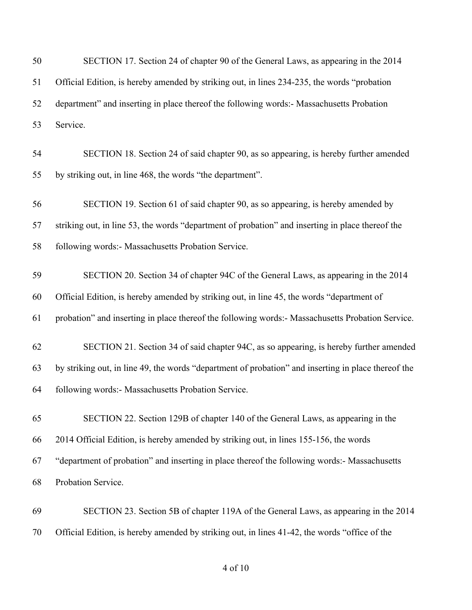| 50 | SECTION 17. Section 24 of chapter 90 of the General Laws, as appearing in the 2014                  |
|----|-----------------------------------------------------------------------------------------------------|
| 51 | Official Edition, is hereby amended by striking out, in lines 234-235, the words "probation         |
| 52 | department" and inserting in place thereof the following words:- Massachusetts Probation            |
| 53 | Service.                                                                                            |
| 54 | SECTION 18. Section 24 of said chapter 90, as so appearing, is hereby further amended               |
| 55 | by striking out, in line 468, the words "the department".                                           |
| 56 | SECTION 19. Section 61 of said chapter 90, as so appearing, is hereby amended by                    |
| 57 | striking out, in line 53, the words "department of probation" and inserting in place thereof the    |
| 58 | following words:- Massachusetts Probation Service.                                                  |
| 59 | SECTION 20. Section 34 of chapter 94C of the General Laws, as appearing in the 2014                 |
| 60 | Official Edition, is hereby amended by striking out, in line 45, the words "department of           |
| 61 | probation" and inserting in place thereof the following words:- Massachusetts Probation Service.    |
| 62 | SECTION 21. Section 34 of said chapter 94C, as so appearing, is hereby further amended              |
| 63 | by striking out, in line 49, the words "department of probation" and inserting in place thereof the |
| 64 | following words:- Massachusetts Probation Service.                                                  |
| 65 | SECTION 22. Section 129B of chapter 140 of the General Laws, as appearing in the                    |
| 66 | 2014 Official Edition, is hereby amended by striking out, in lines 155-156, the words               |
| 67 | "department of probation" and inserting in place thereof the following words:- Massachusetts        |
| 68 | Probation Service.                                                                                  |
| 69 | SECTION 23. Section 5B of chapter 119A of the General Laws, as appearing in the 2014                |
| 70 | Official Edition, is hereby amended by striking out, in lines 41-42, the words "office of the       |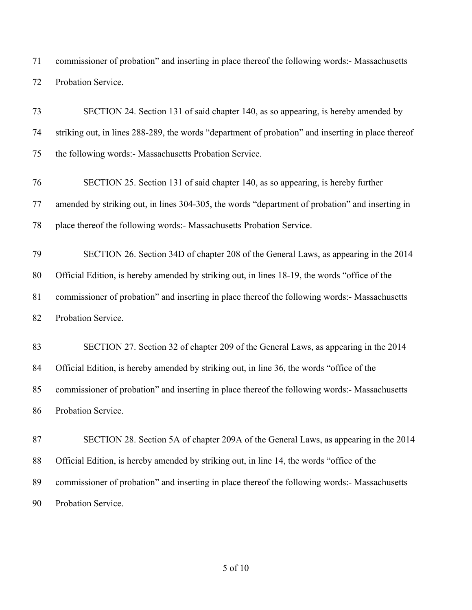commissioner of probation" and inserting in place thereof the following words:- Massachusetts Probation Service.

 SECTION 24. Section 131 of said chapter 140, as so appearing, is hereby amended by striking out, in lines 288-289, the words "department of probation" and inserting in place thereof the following words:- Massachusetts Probation Service. SECTION 25. Section 131 of said chapter 140, as so appearing, is hereby further amended by striking out, in lines 304-305, the words "department of probation" and inserting in place thereof the following words:- Massachusetts Probation Service. SECTION 26. Section 34D of chapter 208 of the General Laws, as appearing in the 2014 Official Edition, is hereby amended by striking out, in lines 18-19, the words "office of the commissioner of probation" and inserting in place thereof the following words:- Massachusetts Probation Service. SECTION 27. Section 32 of chapter 209 of the General Laws, as appearing in the 2014 84 Official Edition, is hereby amended by striking out, in line 36, the words "office of the commissioner of probation" and inserting in place thereof the following words:- Massachusetts Probation Service. SECTION 28. Section 5A of chapter 209A of the General Laws, as appearing in the 2014 Official Edition, is hereby amended by striking out, in line 14, the words "office of the

 commissioner of probation" and inserting in place thereof the following words:- Massachusetts Probation Service.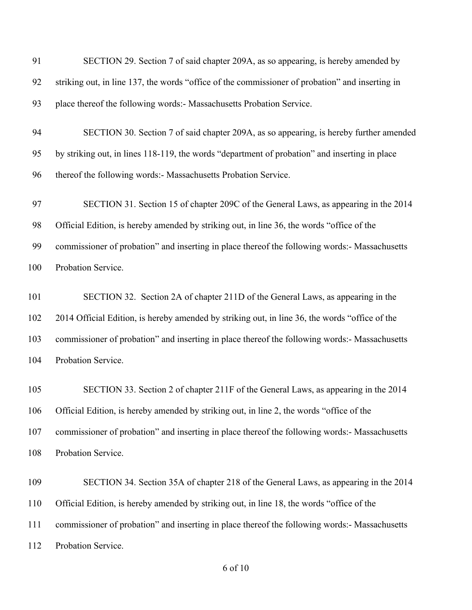| 91  | SECTION 29. Section 7 of said chapter 209A, as so appearing, is hereby amended by               |
|-----|-------------------------------------------------------------------------------------------------|
| 92  | striking out, in line 137, the words "office of the commissioner of probation" and inserting in |
| 93  | place thereof the following words:- Massachusetts Probation Service.                            |
| 94  | SECTION 30. Section 7 of said chapter 209A, as so appearing, is hereby further amended          |
| 95  | by striking out, in lines 118-119, the words "department of probation" and inserting in place   |
| 96  | thereof the following words:- Massachusetts Probation Service.                                  |
| 97  | SECTION 31. Section 15 of chapter 209C of the General Laws, as appearing in the 2014            |
| 98  | Official Edition, is hereby amended by striking out, in line 36, the words "office of the       |
| 99  | commissioner of probation" and inserting in place thereof the following words:- Massachusetts   |
| 100 | Probation Service.                                                                              |
| 101 | SECTION 32. Section 2A of chapter 211D of the General Laws, as appearing in the                 |
| 102 | 2014 Official Edition, is hereby amended by striking out, in line 36, the words "office of the  |
| 103 | commissioner of probation" and inserting in place thereof the following words:- Massachusetts   |
| 104 | Probation Service.                                                                              |
| 105 | SECTION 33. Section 2 of chapter 211F of the General Laws, as appearing in the 2014             |
| 106 | Official Edition, is hereby amended by striking out, in line 2, the words "office of the        |
| 107 | commissioner of probation" and inserting in place thereof the following words:- Massachusetts   |
| 108 | Probation Service.                                                                              |
| 109 | SECTION 34. Section 35A of chapter 218 of the General Laws, as appearing in the 2014            |
| 110 | Official Edition, is hereby amended by striking out, in line 18, the words "office of the       |
| 111 | commissioner of probation" and inserting in place thereof the following words:- Massachusetts   |
| 112 | Probation Service.                                                                              |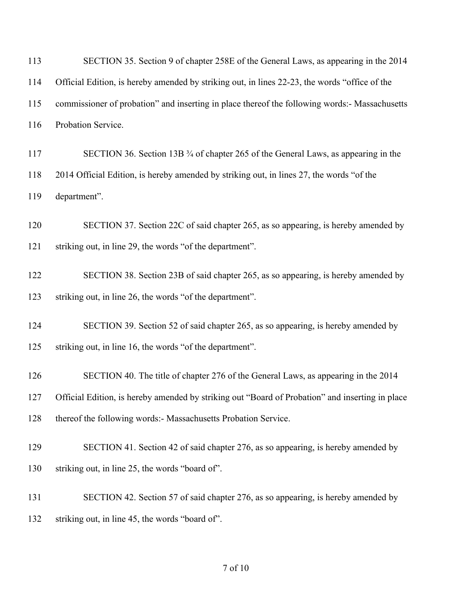| 113 | SECTION 35. Section 9 of chapter 258E of the General Laws, as appearing in the 2014             |
|-----|-------------------------------------------------------------------------------------------------|
| 114 | Official Edition, is hereby amended by striking out, in lines 22-23, the words "office of the   |
| 115 | commissioner of probation" and inserting in place thereof the following words:- Massachusetts   |
| 116 | Probation Service.                                                                              |
| 117 | SECTION 36. Section 13B 3/4 of chapter 265 of the General Laws, as appearing in the             |
| 118 | 2014 Official Edition, is hereby amended by striking out, in lines 27, the words "of the        |
| 119 | department".                                                                                    |
| 120 | SECTION 37. Section 22C of said chapter 265, as so appearing, is hereby amended by              |
| 121 | striking out, in line 29, the words "of the department".                                        |
| 122 | SECTION 38. Section 23B of said chapter 265, as so appearing, is hereby amended by              |
| 123 | striking out, in line 26, the words "of the department".                                        |
| 124 | SECTION 39. Section 52 of said chapter 265, as so appearing, is hereby amended by               |
| 125 | striking out, in line 16, the words "of the department".                                        |
| 126 | SECTION 40. The title of chapter 276 of the General Laws, as appearing in the 2014              |
| 127 | Official Edition, is hereby amended by striking out "Board of Probation" and inserting in place |
| 128 | thereof the following words:- Massachusetts Probation Service.                                  |
| 129 | SECTION 41. Section 42 of said chapter 276, as so appearing, is hereby amended by               |
| 130 | striking out, in line 25, the words "board of".                                                 |
| 131 | SECTION 42. Section 57 of said chapter 276, as so appearing, is hereby amended by               |
| 132 | striking out, in line 45, the words "board of".                                                 |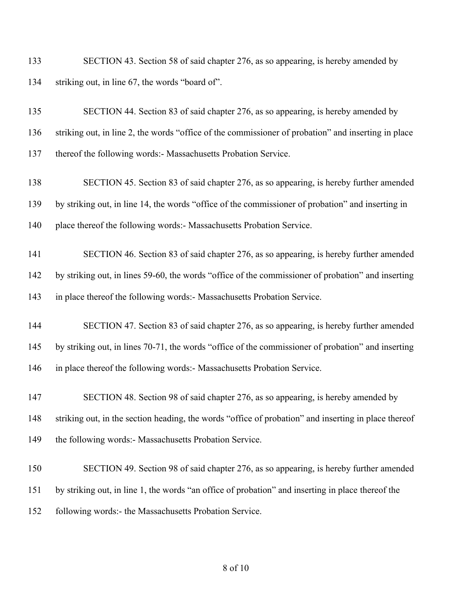SECTION 43. Section 58 of said chapter 276, as so appearing, is hereby amended by striking out, in line 67, the words "board of".

 SECTION 44. Section 83 of said chapter 276, as so appearing, is hereby amended by striking out, in line 2, the words "office of the commissioner of probation" and inserting in place thereof the following words:- Massachusetts Probation Service.

- SECTION 45. Section 83 of said chapter 276, as so appearing, is hereby further amended by striking out, in line 14, the words "office of the commissioner of probation" and inserting in place thereof the following words:- Massachusetts Probation Service.
- SECTION 46. Section 83 of said chapter 276, as so appearing, is hereby further amended by striking out, in lines 59-60, the words "office of the commissioner of probation" and inserting in place thereof the following words:- Massachusetts Probation Service.
- SECTION 47. Section 83 of said chapter 276, as so appearing, is hereby further amended by striking out, in lines 70-71, the words "office of the commissioner of probation" and inserting in place thereof the following words:- Massachusetts Probation Service.
- SECTION 48. Section 98 of said chapter 276, as so appearing, is hereby amended by striking out, in the section heading, the words "office of probation" and inserting in place thereof 149 the following words:- Massachusetts Probation Service.
- SECTION 49. Section 98 of said chapter 276, as so appearing, is hereby further amended by striking out, in line 1, the words "an office of probation" and inserting in place thereof the following words:- the Massachusetts Probation Service.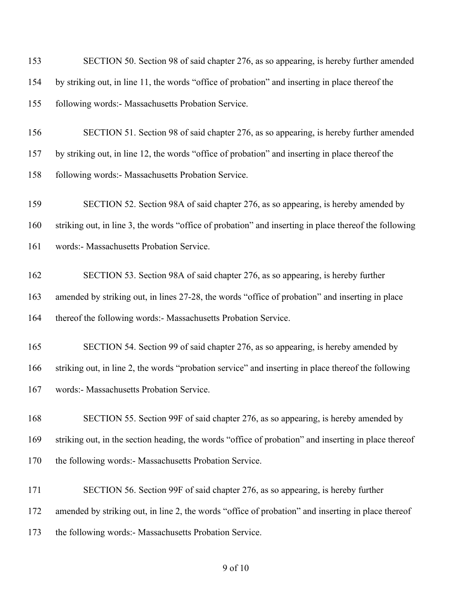| 153 | SECTION 50. Section 98 of said chapter 276, as so appearing, is hereby further amended                |
|-----|-------------------------------------------------------------------------------------------------------|
| 154 | by striking out, in line 11, the words "office of probation" and inserting in place thereof the       |
| 155 | following words:- Massachusetts Probation Service.                                                    |
| 156 | SECTION 51. Section 98 of said chapter 276, as so appearing, is hereby further amended                |
| 157 | by striking out, in line 12, the words "office of probation" and inserting in place thereof the       |
| 158 | following words:- Massachusetts Probation Service.                                                    |
| 159 | SECTION 52. Section 98A of said chapter 276, as so appearing, is hereby amended by                    |
| 160 | striking out, in line 3, the words "office of probation" and inserting in place thereof the following |
| 161 | words:- Massachusetts Probation Service.                                                              |
| 162 | SECTION 53. Section 98A of said chapter 276, as so appearing, is hereby further                       |
| 163 | amended by striking out, in lines 27-28, the words "office of probation" and inserting in place       |
| 164 | thereof the following words:- Massachusetts Probation Service.                                        |
| 165 | SECTION 54. Section 99 of said chapter 276, as so appearing, is hereby amended by                     |
| 166 | striking out, in line 2, the words "probation service" and inserting in place thereof the following   |
| 167 | words:- Massachusetts Probation Service.                                                              |
| 168 | SECTION 55. Section 99F of said chapter 276, as so appearing, is hereby amended by                    |
| 169 | striking out, in the section heading, the words "office of probation" and inserting in place thereof  |
| 170 | the following words:- Massachusetts Probation Service.                                                |
| 171 | SECTION 56. Section 99F of said chapter 276, as so appearing, is hereby further                       |
| 172 | amended by striking out, in line 2, the words "office of probation" and inserting in place thereof    |
| 173 | the following words:- Massachusetts Probation Service.                                                |
|     |                                                                                                       |